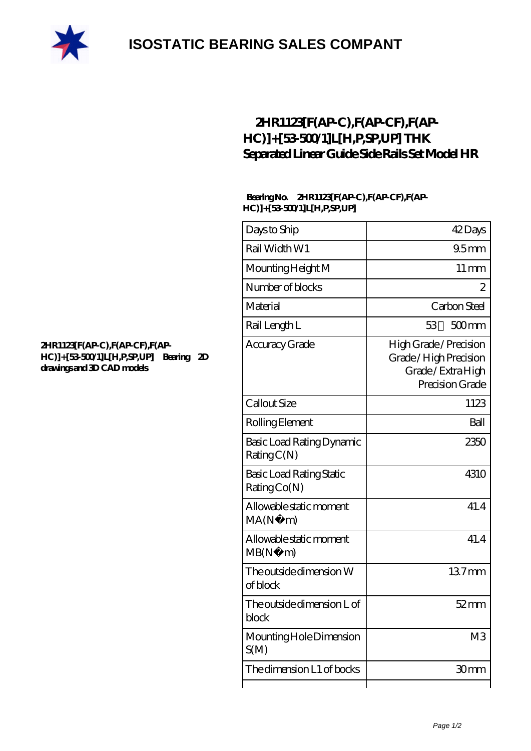

## **[ISOSTATIC BEARING SALES COMPANT](https://m.rebeccakeelingstudios.com)**

### **[2HR1123\[F\(AP-C\),F\(AP-CF\),F\(AP-](https://m.rebeccakeelingstudios.com/high-temperature-linear-guide/2hr1123-f-ap-c-f-ap-cf-f-ap-hc-53-500-1-l-h-p-sp-up.html)[HC\)\]+\[53-500/1\]L\[H,P,SP,UP\] THK](https://m.rebeccakeelingstudios.com/high-temperature-linear-guide/2hr1123-f-ap-c-f-ap-cf-f-ap-hc-53-500-1-l-h-p-sp-up.html) [Separated Linear Guide Side Rails Set Model HR](https://m.rebeccakeelingstudios.com/high-temperature-linear-guide/2hr1123-f-ap-c-f-ap-cf-f-ap-hc-53-500-1-l-h-p-sp-up.html)**

#### **Bearing No. 2HR1123[F(AP-C),F(AP-CF),F(AP-HC)]+[53-500/1]L[H,P,SP,UP]**

| Days to Ship                             | 42Days                                                                               |
|------------------------------------------|--------------------------------------------------------------------------------------|
| Rail Width W1                            | 95mm                                                                                 |
| Mounting Height M                        | $11 \,\mathrm{mm}$                                                                   |
| Number of blocks                         | 2                                                                                    |
| Material                                 | Carbon Steel                                                                         |
| Rail Length L                            | $500$ mm<br>53                                                                       |
| Accuracy Grade                           | High Grade / Precision<br>Grade/High Precision<br>Grade/ExtraHigh<br>Precision Grade |
| Callout Size                             | 1123                                                                                 |
| Rolling Element                          | Ball                                                                                 |
| Basic Load Rating Dynamic<br>RatingC(N)  | 2350                                                                                 |
| Basic Load Rating Static<br>Rating Co(N) | 4310                                                                                 |
| Allowable static moment<br>MA(N·)<br>m)  | 41.4                                                                                 |
| Allowable static moment<br>MB(N)<br>m)   | 41.4                                                                                 |
| The outside dimension W<br>of block      | 137mm                                                                                |
| The outside dimension L of<br>block      | $52$ mm                                                                              |
| Mounting Hole Dimension<br>S(M)          | M <sub>3</sub>                                                                       |
| The dimension L1 of bocks                | 30mm                                                                                 |
|                                          |                                                                                      |

#### **[2HR1123\[F\(AP-C\),F\(AP-CF\),F\(AP-](https://m.rebeccakeelingstudios.com/pic-658865.html)[HC\)\]+\[53-500/1\]L\[H,P,SP,UP\] Bearing 2D](https://m.rebeccakeelingstudios.com/pic-658865.html) [drawings and 3D CAD models](https://m.rebeccakeelingstudios.com/pic-658865.html)**